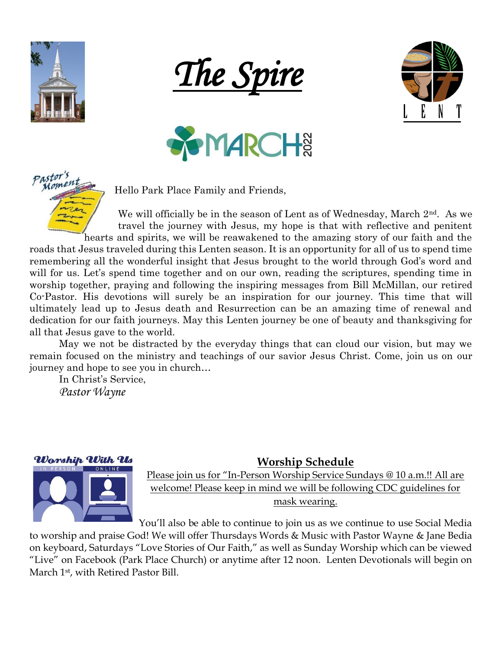









Hello Park Place Family and Friends,

We will officially be in the season of Lent as of Wednesday, March 2<sup>nd</sup>. As we travel the journey with Jesus, my hope is that with reflective and penitent hearts and spirits, we will be reawakened to the amazing story of our faith and the

roads that Jesus traveled during this Lenten season. It is an opportunity for all of us to spend time remembering all the wonderful insight that Jesus brought to the world through God's word and will for us. Let's spend time together and on our own, reading the scriptures, spending time in worship together, praying and following the inspiring messages from Bill McMillan, our retired Co-Pastor. His devotions will surely be an inspiration for our journey. This time that will ultimately lead up to Jesus death and Resurrection can be an amazing time of renewal and dedication for our faith journeys. May this Lenten journey be one of beauty and thanksgiving for all that Jesus gave to the world.

May we not be distracted by the everyday things that can cloud our vision, but may we remain focused on the ministry and teachings of our savior Jesus Christ. Come, join us on our journey and hope to see you in church…

In Christ's Service, *Pastor Wayne*



**Worship Schedule**

Please join us for "In-Person Worship Service Sundays @ 10 a.m.!! All are welcome! Please keep in mind we will be following CDC guidelines for mask wearing.

You'll also be able to continue to join us as we continue to use Social Media

to worship and praise God! We will offer Thursdays Words & Music with Pastor Wayne & Jane Bedia on keyboard, Saturdays "Love Stories of Our Faith," as well as Sunday Worship which can be viewed "Live" on Facebook (Park Place Church) or anytime after 12 noon. Lenten Devotionals will begin on March 1st, with Retired Pastor Bill.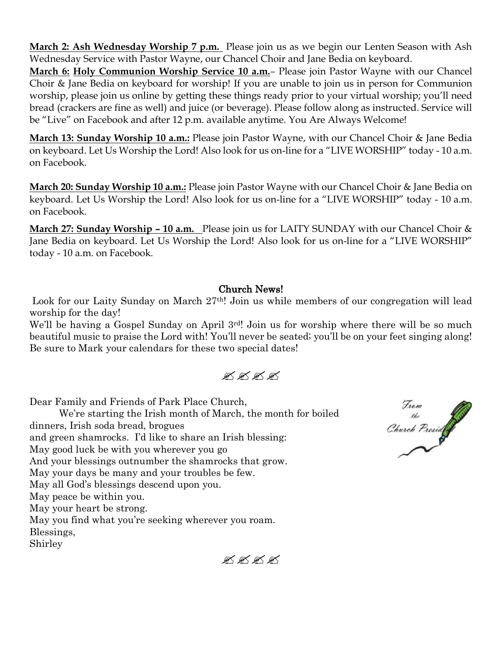**March 2: Ash Wednesday Worship 7 p.m.** Please join us as we begin our Lenten Season with Ash Wednesday Service with Pastor Wayne, our Chancel Choir and Jane Bedia on keyboard.

**March 6: Holy Communion Worship Service 10 a.m.***–* Please join Pastor Wayne with our Chancel Choir & Jane Bedia on keyboard for worship! If you are unable to join us in person for Communion worship, please join us online by getting these things ready prior to your virtual worship; you'll need bread (crackers are fine as well) and juice (or beverage). Please follow along as instructed. Service will be "Live" on Facebook and after 12 p.m. available anytime. You Are Always Welcome!

**March 13: Sunday Worship 10 a.m.:** Please join Pastor Wayne, with our Chancel Choir & Jane Bedia on keyboard. Let Us Worship the Lord! Also look for us on-line for a "LIVE WORSHIP" today - 10 a.m. on Facebook.

**March 20: Sunday Worship 10 a.m.:** Please join Pastor Wayne with our Chancel Choir & Jane Bedia on keyboard. Let Us Worship the Lord! Also look for us on-line for a "LIVE WORSHIP" today - 10 a.m. on Facebook.

**March 27: Sunday Worship – 10 a.m.** Please join us for LAITY SUNDAY with our Chancel Choir & Jane Bedia on keyboard. Let Us Worship the Lord! Also look for us on-line for a "LIVE WORSHIP" today - 10 a.m. on Facebook.

#### Church News!

Look for our Laity Sunday on March 27<sup>th</sup>! Join us while members of our congregation will lead worship for the day!

We'll be having a Gospel Sunday on April 3<sup>rd</sup>! Join us for worship where there will be so much beautiful music to praise the Lord with! You'll never be seated; you'll be on your feet singing along! Be sure to Mark your calendars for these two special dates!

 $\mathbb{R} \times \mathbb{R} \times \mathbb{R}$ 

Dear Family and Friends of Park Place Church,

We're starting the Irish month of March, the month for boiled dinners, Irish soda bread, brogues and green shamrocks. I'd like to share an Irish blessing: May good luck be with you wherever you go And your blessings outnumber the shamrocks that grow. May your days be many and your troubles be few. May all God's blessings descend upon you. May peace be within you. May your heart be strong. May you find what you're seeking wherever you roam. Blessings,

Shirley

**AKKA** 

 $\mathcal{F}_{\text{ram}}$ From<br>the<br>Church President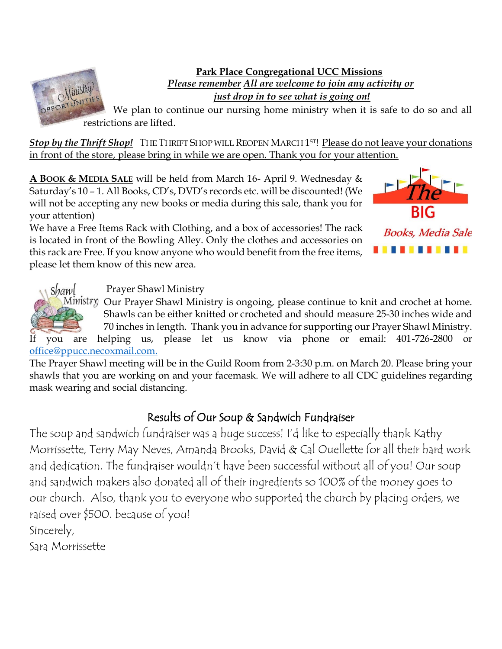

We plan to continue our nursing home ministry when it is safe to do so and all restrictions are lifted.

*Stop by the Thrift Shop!* THE THRIFT SHOP WILL REOPEN MARCH 1<sup>ST!</sup> Please do not leave your donations in front of the store, please bring in while we are open. Thank you for your attention.

**A BOOK & MEDIA SALE** will be held from March 16- April 9. Wednesday & Saturday's 10 – 1. All Books, CD's, DVD's records etc. will be discounted! (We will not be accepting any new books or media during this sale, thank you for your attention)

We have a Free Items Rack with Clothing, and a box of accessories! The rack is located in front of the Bowling Alley. Only the clothes and accessories on this rack are Free. If you know anyone who would benefit from the free items, please let them know of this new area.



Prayer Shawl Ministry

Ministry Our Prayer Shawl Ministry is ongoing, please continue to knit and crochet at home. Shawls can be either knitted or crocheted and should measure 25-30 inches wide and 70 inches in length. Thank you in advance for supporting our Prayer Shawl Ministry. If you are helping us, please let us know via phone or email: 401-726-2800 or [office@ppucc.necoxmail.com.](mailto:office@ppucc.necoxmail.com)

The Prayer Shawl meeting will be in the Guild Room from 2-3:30 p.m. on March 20. Please bring your shawls that you are working on and your facemask. We will adhere to all CDC guidelines regarding mask wearing and social distancing.

## Results of Our Soup & Sandwich Fundraiser

The soup and sandwich fundraiser was a huge success! I'd like to especially thank Kathy Morrissette, Terry May Neves, Amanda Brooks, David & Cal Ouellette for all their hard work and dedication. The fundraiser wouldn't have been successful without all of you! Our soup and sandwich makers also donated all of their ingredients so 100% of the money goes to our church. Also, thank you to everyone who supported the church by placing orders, we raised over \$500. because of you!

Sincerely,

Sara Morrissette

Shawl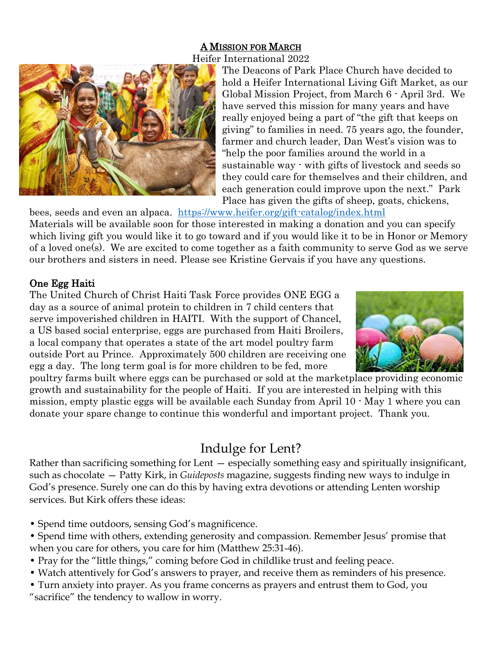#### A MISSION FOR MARCH

Heifer International 2022



The Deacons of Park Place Church have decided to hold a Heifer International Living Gift Market, as our Global Mission Project, from March 6 - April 3rd. We have served this mission for many years and have really enjoyed being a part of "the gift that keeps on giving" to families in need. 75 years ago, the founder, farmer and church leader, Dan West's vision was to "help the poor families around the world in a sustainable way - with gifts of livestock and seeds so they could care for themselves and their children, and each generation could improve upon the next." Park Place has given the gifts of sheep, goats, chickens,

bees, seeds and even an alpaca. <https://www.heifer.org/gift-catalog/index.html> Materials will be available soon for those interested in making a donation and you can specify which living gift you would like it to go toward and if you would like it to be in Honor or Memory of a loved one(s). We are excited to come together as a faith community to serve God as we serve our brothers and sisters in need. Please see Kristine Gervais if you have any questions.

#### One Egg Haiti

The United Church of Christ Haiti Task Force provides ONE EGG a day as a source of animal protein to children in 7 child centers that serve impoverished children in HAITI. With the support of Chancel, a US based social enterprise, eggs are purchased from Haiti Broilers, a local company that operates a state of the art model poultry farm outside Port au Prince. Approximately 500 children are receiving one egg a day. The long term goal is for more children to be fed, more



poultry farms built where eggs can be purchased or sold at the marketplace providing economic growth and sustainability for the people of Haiti. If you are interested in helping with this mission, empty plastic eggs will be available each Sunday from April 10 - May 1 where you can donate your spare change to continue this wonderful and important project. Thank you.

## Indulge for Lent?

Rather than sacrificing something for Lent — especially something easy and spiritually insignificant, such as chocolate — Patty Kirk, in *Guideposts* magazine, suggests finding new ways to indulge in God's presence. Surely one can do this by having extra devotions or attending Lenten worship services. But Kirk offers these ideas:

- Spend time outdoors, sensing God's magnificence.
- Spend time with others, extending generosity and compassion. Remember Jesus' promise that when you care for others, you care for him (Matthew 25:31-46).
- Pray for the "little things," coming before God in childlike trust and feeling peace.
- Watch attentively for God's answers to prayer, and receive them as reminders of his presence.
- Turn anxiety into prayer. As you frame concerns as prayers and entrust them to God, you "sacrifice" the tendency to wallow in worry.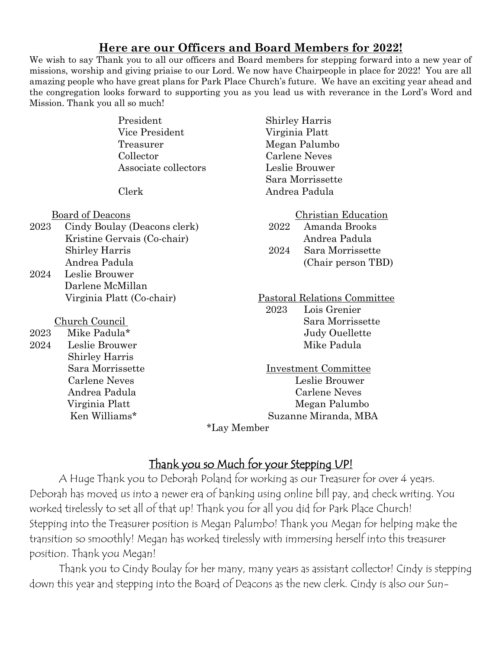### **Here are our Officers and Board Members for 2022!**

We wish to say Thank you to all our officers and Board members for stepping forward into a new year of missions, worship and giving priaise to our Lord. We now have Chairpeople in place for 2022! You are all amazing people who have great plans for Park Place Church's future. We have an exciting year ahead and the congregation looks forward to supporting you as you lead us with reverance in the Lord's Word and Mission. Thank you all so much!

> President Shirley Harris Vice President Virginia Platt Treasurer Megan Palumbo Collector Carlene Neves Associate collectors Leslie Brouwer Sara Morrissette

- 2023 Cindy Boulay (Deacons clerk) 2022 Amanda Brooks Kristine Gervais (Co-chair) Andrea Padula Shirley Harris 2024 Sara Morrissette Andrea Padula (Chair person TBD) 2024 Leslie Brouwer
	- Darlene McMillan

2024 Leslie Brouwer Mike Padula Shirley Harris

Clerk Andrea Padula Board of Deacons Christian Education

Virginia Platt (Co-chair) Pastoral Relations Committee

2023 Lois Grenier Church Council Sara Morrissette 2023 Mike Padula\* Judy Ouellette

> Sara Morrissette Investment Committee Carlene Neves Leslie Brouwer Andrea Padula Carlene Neves Virginia Platt Negan Palumbo Ken Williams\* Suzanne Miranda, MBA

\*Lay Member

## Thank you so Much for your Stepping UP!

A Huge Thank you to Deborah Poland for working as our Treasurer for over 4 years. Deborah has moved us into a newer era of banking using online bill pay, and check writing. You worked tirelessly to set all of that up! Thank you for all you did for Park Place Church! Stepping into the Treasurer position is Megan Palumbo! Thank you Megan for helping make the transition so smoothly! Megan has worked tirelessly with immersing herself into this treasurer position. Thank you Megan!

Thank you to Cindy Boulay for her many, many years as assistant collector! Cindy is stepping down this year and stepping into the Board of Deacons as the new clerk. Cindy is also our Sun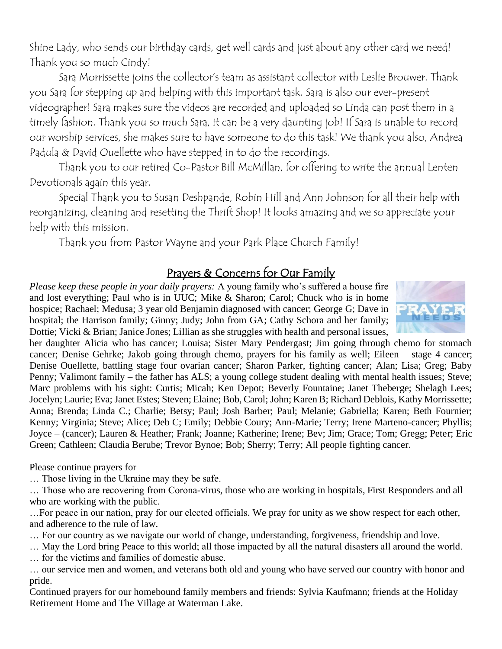Shine Lady, who sends our birthday cards, get well cards and just about any other card we need! Thank you so much Cindy!

Sara Morrissette joins the collector's team as assistant collector with Leslie Brouwer. Thank you Sara for stepping up and helping with this important task. Sara is also our ever-present videographer! Sara makes sure the videos are recorded and uploaded so Linda can post them in a timely fashion. Thank you so much Sara, it can be a very daunting job! If Sara is unable to record our worship services, she makes sure to have someone to do this task! We thank you also, Andrea Padula & David Ouellette who have stepped in to do the recordings.

Thank you to our retired Co-Pastor Bill McMillan, for offering to write the annual Lenten Devotionals again this year.

Special Thank you to Susan Deshpande, Robin Hill and Ann Johnson for all their help with reorganizing, cleaning and resetting the Thrift Shop! It looks amazing and we so appreciate your help with this mission.

Thank you from Pastor Wayne and your Park Place Church Family!

## Prayers & Concerns for Our Family

*Please keep these people in your daily prayers:* A young family who's suffered a house fire and lost everything; Paul who is in UUC; Mike & Sharon; Carol; Chuck who is in home hospice; Rachael; Medusa; 3 year old Benjamin diagnosed with cancer; George G; Dave in hospital; the Harrison family; Ginny; Judy; John from GA; Cathy Schora and her family; Dottie; Vicki & Brian; Janice Jones; Lillian as she struggles with health and personal issues,



her daughter Alicia who has cancer; Louisa; Sister Mary Pendergast; Jim going through chemo for stomach cancer; Denise Gehrke; Jakob going through chemo, prayers for his family as well; Eileen – stage 4 cancer; Denise Ouellette, battling stage four ovarian cancer; Sharon Parker, fighting cancer; Alan; Lisa; Greg; Baby Penny; Valimont family – the father has ALS; a young college student dealing with mental health issues; Steve; Marc problems with his sight: Curtis; Micah; Ken Depot; Beverly Fountaine; Janet Theberge; Shelagh Lees; Jocelyn; Laurie; Eva; Janet Estes; Steven; Elaine; Bob, Carol; John; Karen B; Richard Deblois, Kathy Morrissette; Anna; Brenda; Linda C.; Charlie; Betsy; Paul; Josh Barber; Paul; Melanie; Gabriella; Karen; Beth Fournier; Kenny; Virginia; Steve; Alice; Deb C; Emily; Debbie Coury; Ann-Marie; Terry; Irene Marteno-cancer; Phyllis; Joyce – (cancer); Lauren & Heather; Frank; Joanne; Katherine; Irene; Bev; Jim; Grace; Tom; Gregg; Peter; Eric Green; Cathleen; Claudia Berube; Trevor Bynoe; Bob; Sherry; Terry; All people fighting cancer.

Please continue prayers for

… Those living in the Ukraine may they be safe.

… Those who are recovering from Corona-virus, those who are working in hospitals, First Responders and all who are working with the public.

…For peace in our nation, pray for our elected officials. We pray for unity as we show respect for each other, and adherence to the rule of law.

… For our country as we navigate our world of change, understanding, forgiveness, friendship and love.

… May the Lord bring Peace to this world; all those impacted by all the natural disasters all around the world. … for the victims and families of domestic abuse.

… our service men and women, and veterans both old and young who have served our country with honor and pride.

Continued prayers for our homebound family members and friends: Sylvia Kaufmann; friends at the Holiday Retirement Home and The Village at Waterman Lake.